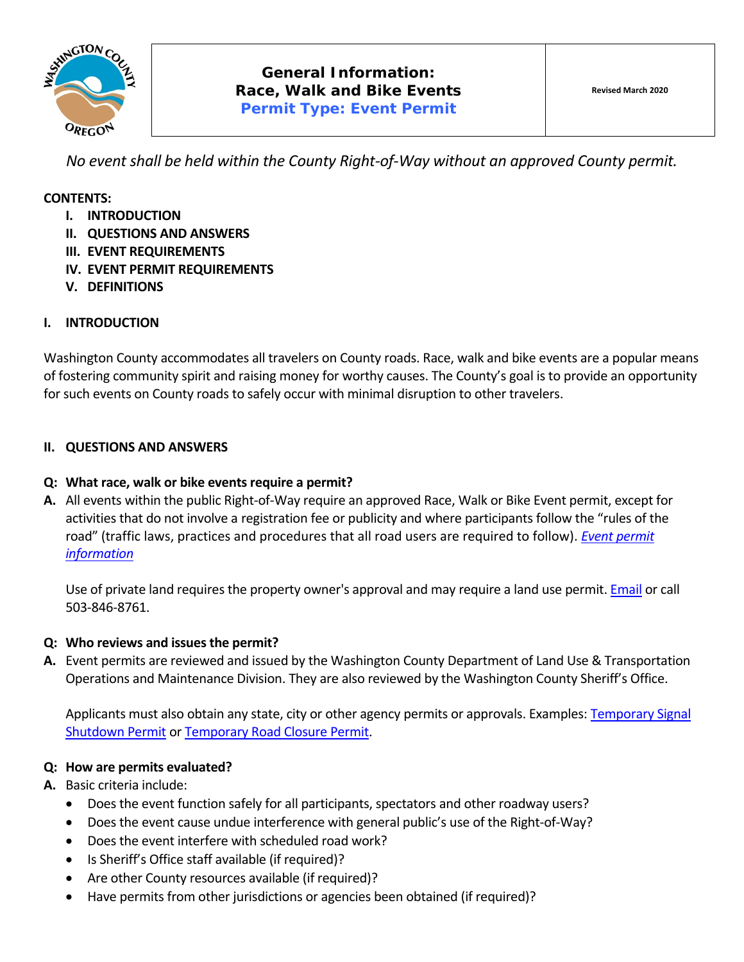

*No event shall be held within the County Right‐of‐Way without an approved County permit.* 

### **CONTENTS:**

- **I. INTRODUCTION**
- **II. QUESTIONS AND ANSWERS**
- **III. EVENT REQUIREMENTS**
- **IV. EVENT PERMIT REQUIREMENTS**
- **V. DEFINITIONS**

### **I. INTRODUCTION**

Washington County accommodates all travelers on County roads. Race, walk and bike events are a popular means of fostering community spirit and raising money for worthy causes. The County's goal is to provide an opportunity for such events on County roads to safely occur with minimal disruption to other travelers.

### **II. QUESTIONS AND ANSWERS**

### **Q: What race, walk or bike events require a permit?**

**A.** All events within the public Right‐of‐Way require an approved Race, Walk or Bike Event permit, except for activities that do not involve a registration fee or publicity and where participants follow the "rules of the road" (traffic laws, practices and procedures that all road users are required to follow). *Event permit information*

Use of private land requires the property owner's approval and may require a land use permit. Email or call 503‐846‐8761.

### **Q: Who reviews and issues the permit?**

**A.** Event permits are reviewed and issued by the Washington County Department of Land Use & Transportation Operations and Maintenance Division. They are also reviewed by the Washington County Sheriff's Office.

Applicants must also obtain any state, city or other agency permits or approvals. Examples: Temporary Signal Shutdown Permit or Temporary Road Closure Permit.

### **Q: How are permits evaluated?**

**A.** Basic criteria include:

- Does the event function safely for all participants, spectators and other roadway users?
- Does the event cause undue interference with general public's use of the Right-of-Way?
- Does the event interfere with scheduled road work?
- Is Sheriff's Office staff available (if required)?
- Are other County resources available (if required)?
- Have permits from other jurisdictions or agencies been obtained (if required)?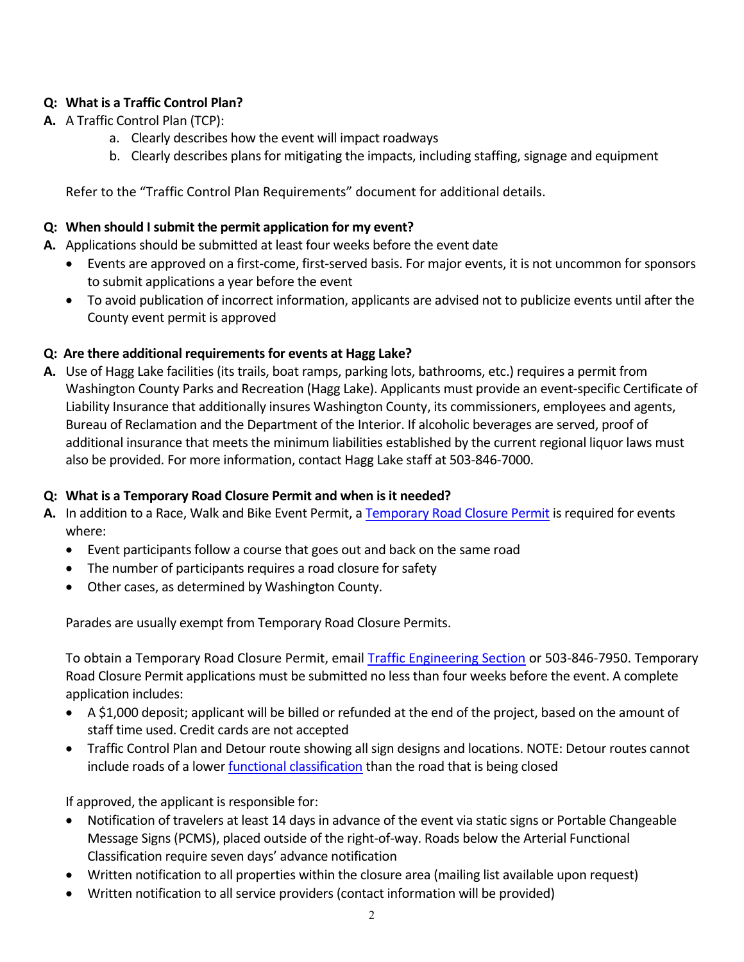# **Q: What is a Traffic Control Plan?**

- **A.** A Traffic Control Plan (TCP):
	- a. Clearly describes how the event will impact roadways
	- b. Clearly describes plans for mitigating the impacts, including staffing, signage and equipment

Refer to the "Traffic Control Plan Requirements" document for additional details.

# **Q: When should I submit the permit application for my event?**

- **A.** Applications should be submitted at least four weeks before the event date
	- Events are approved on a first‐come, first‐served basis. For major events, it is not uncommon for sponsors to submit applications a year before the event
	- To avoid publication of incorrect information, applicants are advised not to publicize events until after the County event permit is approved

# **Q: Are there additional requirements for events at Hagg Lake?**

**A.** Use of Hagg Lake facilities (its trails, boat ramps, parking lots, bathrooms, etc.) requires a permit from Washington County Parks and Recreation (Hagg Lake). Applicants must provide an event‐specific Certificate of Liability Insurance that additionally insures Washington County, its commissioners, employees and agents, Bureau of Reclamation and the Department of the Interior. If alcoholic beverages are served, proof of additional insurance that meets the minimum liabilities established by the current regional liquor laws must also be provided. For more information, contact Hagg Lake staff at 503‐846‐7000.

# **Q: What is a Temporary Road Closure Permit and when is it needed?**

- A. In addition to a Race, Walk and Bike Event Permit, a Temporary Road Closure Permit is required for events where:
	- Event participants follow a course that goes out and back on the same road
	- The number of participants requires a road closure for safety
	- Other cases, as determined by Washington County.

Parades are usually exempt from Temporary Road Closure Permits.

To obtain a Temporary Road Closure Permit, email Traffic Engineering Section or 503‐846‐7950. Temporary Road Closure Permit applications must be submitted no less than four weeks before the event. A complete application includes:

- A \$1,000 deposit; applicant will be billed or refunded at the end of the project, based on the amount of staff time used. Credit cards are not accepted
- Traffic Control Plan and Detour route showing all sign designs and locations. NOTE: Detour routes cannot include roads of a lower **functional classification** than the road that is being closed

If approved, the applicant is responsible for:

- Notification of travelers at least 14 days in advance of the event via static signs or Portable Changeable Message Signs (PCMS), placed outside of the right‐of‐way. Roads below the Arterial Functional Classification require seven days' advance notification
- Written notification to all properties within the closure area (mailing list available upon request)
- Written notification to all service providers (contact information will be provided)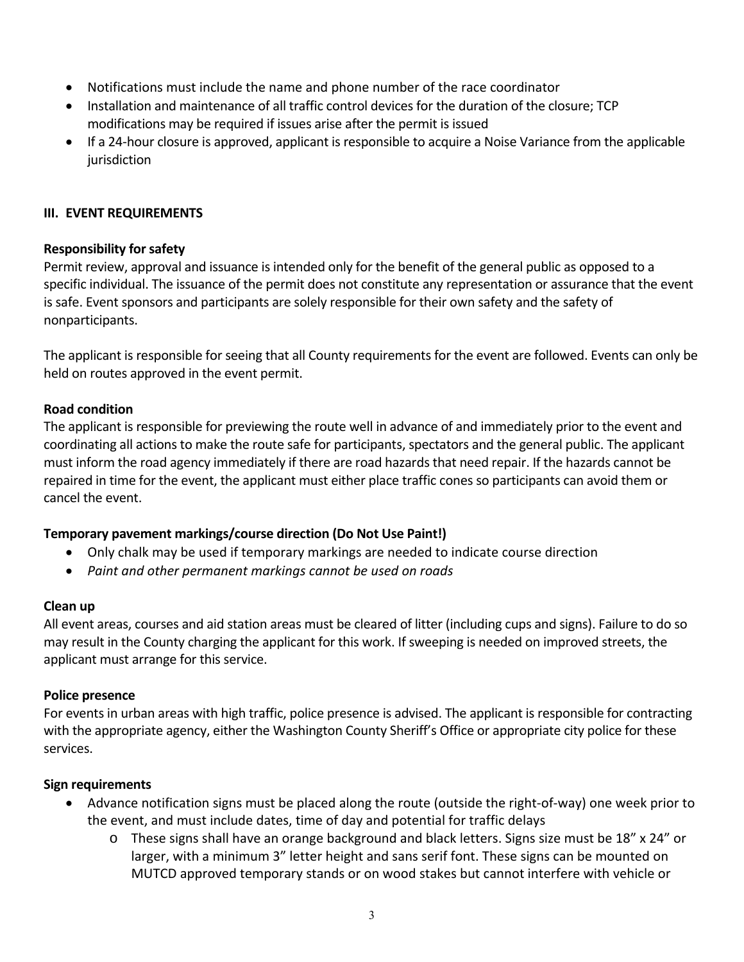- Notifications must include the name and phone number of the race coordinator
- Installation and maintenance of all traffic control devices for the duration of the closure; TCP modifications may be required if issues arise after the permit is issued
- If a 24-hour closure is approved, applicant is responsible to acquire a Noise Variance from the applicable jurisdiction

### **III. EVENT REQUIREMENTS**

### **Responsibility for safety**

Permit review, approval and issuance is intended only for the benefit of the general public as opposed to a specific individual. The issuance of the permit does not constitute any representation or assurance that the event is safe. Event sponsors and participants are solely responsible for their own safety and the safety of nonparticipants.

The applicant is responsible for seeing that all County requirements for the event are followed. Events can only be held on routes approved in the event permit.

### **Road condition**

The applicant is responsible for previewing the route well in advance of and immediately prior to the event and coordinating all actions to make the route safe for participants, spectators and the general public. The applicant must inform the road agency immediately if there are road hazards that need repair. If the hazards cannot be repaired in time for the event, the applicant must either place traffic cones so participants can avoid them or cancel the event.

## **Temporary pavement markings/course direction (Do Not Use Paint!)**

- Only chalk may be used if temporary markings are needed to indicate course direction
- *Paint and other permanent markings cannot be used on roads*

### **Clean up**

All event areas, courses and aid station areas must be cleared of litter (including cups and signs). Failure to do so may result in the County charging the applicant for this work. If sweeping is needed on improved streets, the applicant must arrange for this service.

### **Police presence**

For events in urban areas with high traffic, police presence is advised. The applicant is responsible for contracting with the appropriate agency, either the Washington County Sheriff's Office or appropriate city police for these services.

### **Sign requirements**

- Advance notification signs must be placed along the route (outside the right-of-way) one week prior to the event, and must include dates, time of day and potential for traffic delays
	- $\circ$  These signs shall have an orange background and black letters. Signs size must be 18" x 24" or larger, with a minimum 3" letter height and sans serif font. These signs can be mounted on MUTCD approved temporary stands or on wood stakes but cannot interfere with vehicle or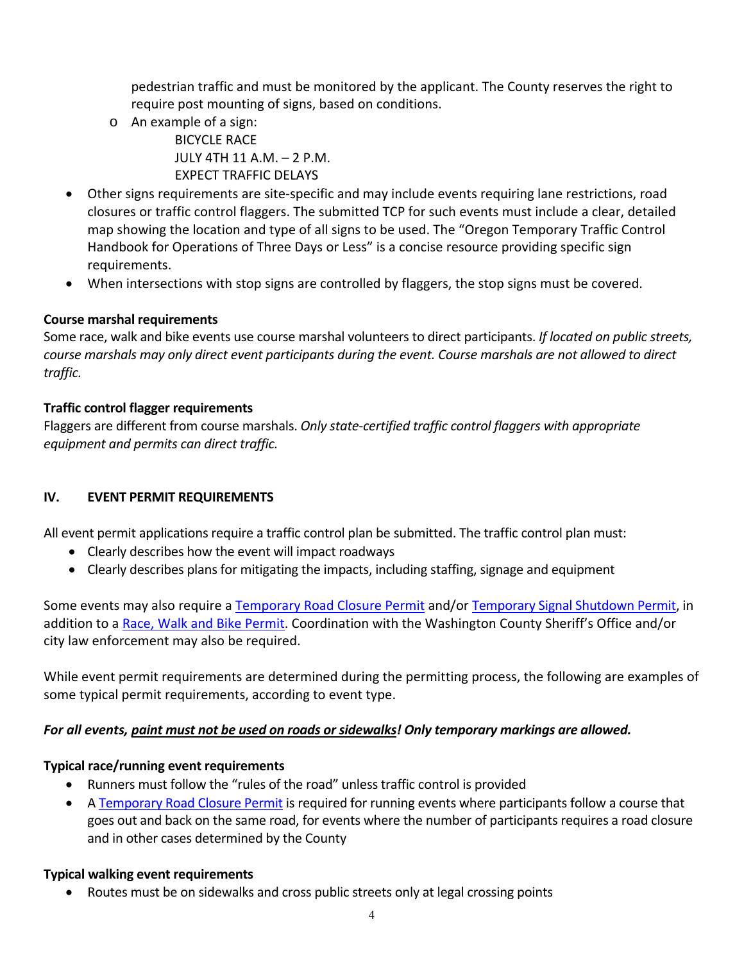pedestrian traffic and must be monitored by the applicant. The County reserves the right to require post mounting of signs, based on conditions.

- o An example of a sign: BICYCLE RACE JULY 4TH 11 A.M. – 2 P.M. EXPECT TRAFFIC DELAYS
- Other signs requirements are site-specific and may include events requiring lane restrictions, road closures or traffic control flaggers. The submitted TCP for such events must include a clear, detailed map showing the location and type of all signs to be used. The "Oregon Temporary Traffic Control Handbook for Operations of Three Days or Less" is a concise resource providing specific sign requirements.
- When intersections with stop signs are controlled by flaggers, the stop signs must be covered.

# **Course marshal requirements**

Some race, walk and bike events use course marshal volunteers to direct participants. *If located on public streets, course marshals may only direct event participants during the event. Course marshals are not allowed to direct traffic.* 

# **Traffic control flagger requirements**

Flaggers are different from course marshals. *Only state‐certified traffic control flaggers with appropriate equipment and permits can direct traffic.* 

# **IV. EVENT PERMIT REQUIREMENTS**

All event permit applications require a traffic control plan be submitted. The traffic control plan must:

- Clearly describes how the event will impact roadways
- Clearly describes plans for mitigating the impacts, including staffing, signage and equipment

Some events may also require a Temporary Road Closure Permit and/or Temporary Signal Shutdown Permit, in addition to a Race, Walk and Bike Permit. Coordination with the Washington County Sheriff's Office and/or city law enforcement may also be required.

While event permit requirements are determined during the permitting process, the following are examples of some typical permit requirements, according to event type.

## *For all events, paint must not be used on roads or sidewalks! Only temporary markings are allowed.*

## **Typical race/running event requirements**

- Runners must follow the "rules of the road" unless traffic control is provided
- A Temporary Road Closure Permit is required for running events where participants follow a course that goes out and back on the same road, for events where the number of participants requires a road closure and in other cases determined by the County

## **Typical walking event requirements**

• Routes must be on sidewalks and cross public streets only at legal crossing points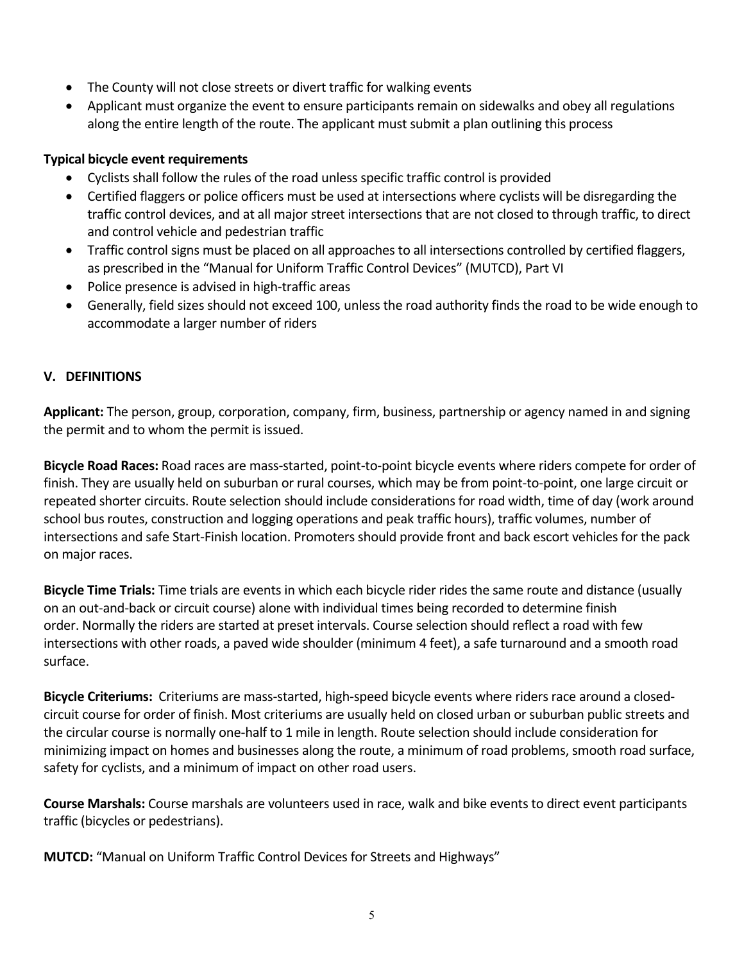- The County will not close streets or divert traffic for walking events
- Applicant must organize the event to ensure participants remain on sidewalks and obey all regulations along the entire length of the route. The applicant must submit a plan outlining this process

## **Typical bicycle event requirements**

- Cyclists shall follow the rules of the road unless specific traffic control is provided
- Certified flaggers or police officers must be used at intersections where cyclists will be disregarding the traffic control devices, and at all major street intersections that are not closed to through traffic, to direct and control vehicle and pedestrian traffic
- Traffic control signs must be placed on all approaches to all intersections controlled by certified flaggers, as prescribed in the "Manual for Uniform Traffic Control Devices" (MUTCD), Part VI
- Police presence is advised in high-traffic areas
- Generally, field sizes should not exceed 100, unless the road authority finds the road to be wide enough to accommodate a larger number of riders

## **V. DEFINITIONS**

**Applicant:** The person, group, corporation, company, firm, business, partnership or agency named in and signing the permit and to whom the permit is issued.

**Bicycle Road Races:** Road races are mass‐started, point‐to‐point bicycle events where riders compete for order of finish. They are usually held on suburban or rural courses, which may be from point‐to‐point, one large circuit or repeated shorter circuits. Route selection should include considerations for road width, time of day (work around school bus routes, construction and logging operations and peak traffic hours), traffic volumes, number of intersections and safe Start‐Finish location. Promoters should provide front and back escort vehicles for the pack on major races.

**Bicycle Time Trials:** Time trials are events in which each bicycle rider rides the same route and distance (usually on an out‐and‐back or circuit course) alone with individual times being recorded to determine finish order. Normally the riders are started at preset intervals. Course selection should reflect a road with few intersections with other roads, a paved wide shoulder (minimum 4 feet), a safe turnaround and a smooth road surface.

Bicycle Criteriums: Criteriums are mass-started, high-speed bicycle events where riders race around a closedcircuit course for order of finish. Most criteriums are usually held on closed urban or suburban public streets and the circular course is normally one‐half to 1 mile in length. Route selection should include consideration for minimizing impact on homes and businesses along the route, a minimum of road problems, smooth road surface, safety for cyclists, and a minimum of impact on other road users.

**Course Marshals:** Course marshals are volunteers used in race, walk and bike events to direct event participants traffic (bicycles or pedestrians).

**MUTCD:** "Manual on Uniform Traffic Control Devices for Streets and Highways"